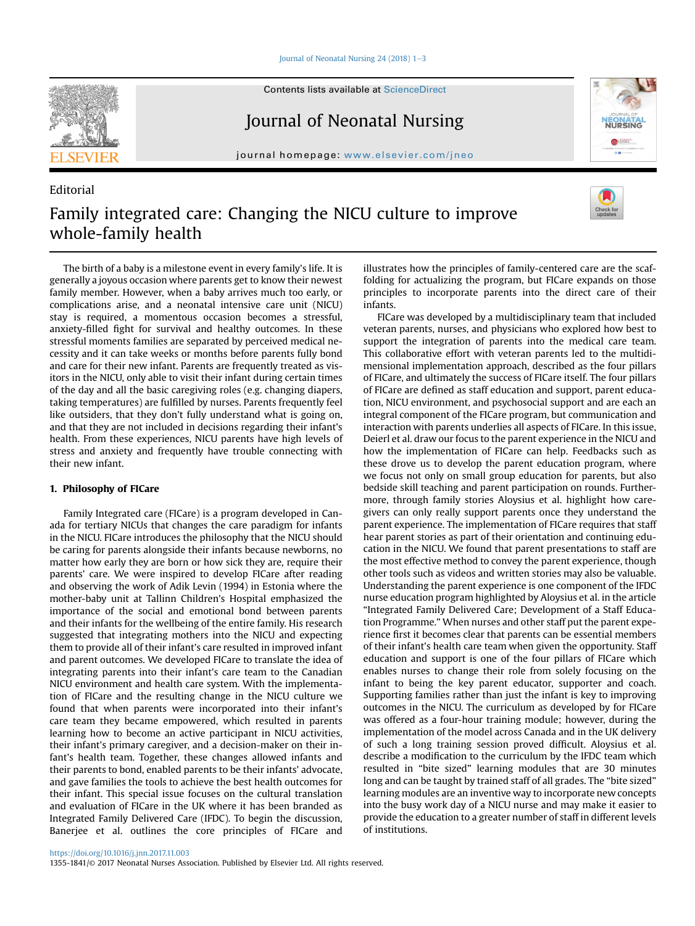Journal of Neonatal Nursing  $24$  (2018) 1-[3](https://doi.org/10.1016/j.jnn.2017.11.003)



Editorial

Contents lists available at ScienceDirect

## Journal of Neonatal Nursing

journal homepage: <www.elsevier.com/jneo>



# Family integrated care: Changing the NICU culture to improve whole-family health

The birth of a baby is a milestone event in every family's life. It is generally a joyous occasion where parents get to know their newest family member. However, when a baby arrives much too early, or complications arise, and a neonatal intensive care unit (NICU) stay is required, a momentous occasion becomes a stressful, anxiety-filled fight for survival and healthy outcomes. In these stressful moments families are separated by perceived medical necessity and it can take weeks or months before parents fully bond and care for their new infant. Parents are frequently treated as visitors in the NICU, only able to visit their infant during certain times of the day and all the basic caregiving roles (e.g. changing diapers, taking temperatures) are fulfilled by nurses. Parents frequently feel like outsiders, that they don't fully understand what is going on, and that they are not included in decisions regarding their infant's health. From these experiences, NICU parents have high levels of stress and anxiety and frequently have trouble connecting with their new infant.

### $\mathbf{r}$  ,  $\mathbf{r}$

Family Integrated care (FICare) is a program developed in Canada for tertiary NICUs that changes the care paradigm for infants in the NICU. FICare introduces the philosophy that the NICU should be caring for parents alongside their infants because newborns, no matter how early they are born or how sick they are, require their parents' care. We were inspired to develop FICare after reading and observing the work of Adik Levin (1994) in Estonia where the mother-baby unit at Tallinn Children's Hospital emphasized the importance of the social and emotional bond between parents and their infants for the wellbeing of the entire family. His research suggested that integrating mothers into the NICU and expecting them to provide all of their infant's care resulted in improved infant and parent outcomes. We developed FICare to translate the idea of integrating parents into their infant's care team to the Canadian NICU environment and health care system. With the implementation of FICare and the resulting change in the NICU culture we found that when parents were incorporated into their infant's care team they became empowered, which resulted in parents learning how to become an active participant in NICU activities, their infant's primary caregiver, and a decision-maker on their infant's health team. Together, these changes allowed infants and their parents to bond, enabled parents to be their infants' advocate, and gave families the tools to achieve the best health outcomes for their infant. This special issue focuses on the cultural translation and evaluation of FICare in the UK where it has been branded as Integrated Family Delivered Care (IFDC). To begin the discussion, Banerjee et al. outlines the core principles of FICare and

illustrates how the principles of family-centered care are the scaffolding for actualizing the program, but FICare expands on those principles to incorporate parents into the direct care of their infants.

FICare was developed by a multidisciplinary team that included veteran parents, nurses, and physicians who explored how best to support the integration of parents into the medical care team. This collaborative effort with veteran parents led to the multidimensional implementation approach, described as the four pillars of FICare, and ultimately the success of FICare itself. The four pillars of FICare are defined as staff education and support, parent education, NICU environment, and psychosocial support and are each an integral component of the FICare program, but communication and interaction with parents underlies all aspects of FICare. In this issue, Deierl et al. draw our focus to the parent experience in the NICU and how the implementation of FICare can help. Feedbacks such as these drove us to develop the parent education program, where we focus not only on small group education for parents, but also bedside skill teaching and parent participation on rounds. Furthermore, through family stories Aloysius et al. highlight how caregivers can only really support parents once they understand the parent experience. The implementation of FICare requires that staff hear parent stories as part of their orientation and continuing education in the NICU. We found that parent presentations to staff are the most effective method to convey the parent experience, though other tools such as videos and written stories may also be valuable. Understanding the parent experience is one component of the IFDC nurse education program highlighted by Aloysius et al. in the article "Integrated Family Delivered Care; Development of a Staff Education Programme." When nurses and other staff put the parent experience first it becomes clear that parents can be essential members of their infant's health care team when given the opportunity. Staff education and support is one of the four pillars of FICare which enables nurses to change their role from solely focusing on the infant to being the key parent educator, supporter and coach. Supporting families rather than just the infant is key to improving outcomes in the NICU. The curriculum as developed by for FICare was offered as a four-hour training module; however, during the implementation of the model across Canada and in the UK delivery of such a long training session proved difficult. Aloysius et al. describe a modification to the curriculum by the IFDC team which resulted in "bite sized" learning modules that are 30 minutes long and can be taught by trained staff of all grades. The "bite sized" learning modules are an inventive way to incorporate new concepts into the busy work day of a NICU nurse and may make it easier to provide the education to a greater number of staff in different levels of institutions.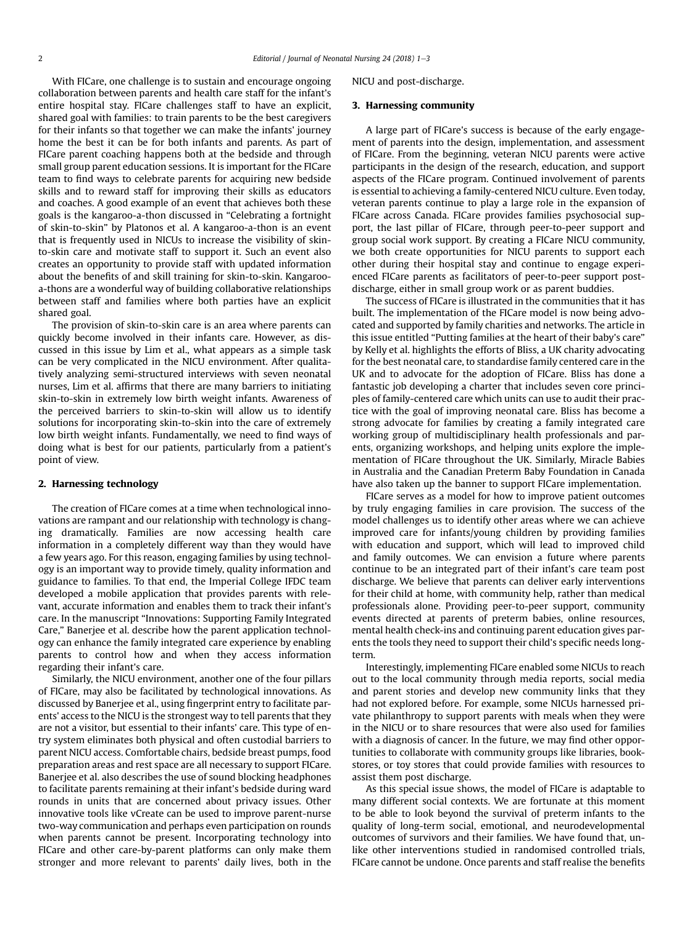With FICare, one challenge is to sustain and encourage ongoing collaboration between parents and health care staff for the infant's entire hospital stay. FICare challenges staff to have an explicit, shared goal with families: to train parents to be the best caregivers for their infants so that together we can make the infants' journey home the best it can be for both infants and parents. As part of FICare parent coaching happens both at the bedside and through small group parent education sessions. It is important for the FICare team to find ways to celebrate parents for acquiring new bedside skills and to reward staff for improving their skills as educators and coaches. A good example of an event that achieves both these goals is the kangaroo-a-thon discussed in "Celebrating a fortnight of skin-to-skin" by Platonos et al. A kangaroo-a-thon is an event that is frequently used in NICUs to increase the visibility of skinto-skin care and motivate staff to support it. Such an event also creates an opportunity to provide staff with updated information about the benefits of and skill training for skin-to-skin. Kangarooa-thons are a wonderful way of building collaborative relationships between staff and families where both parties have an explicit shared goal.

The provision of skin-to-skin care is an area where parents can quickly become involved in their infants care. However, as discussed in this issue by Lim et al., what appears as a simple task can be very complicated in the NICU environment. After qualitatively analyzing semi-structured interviews with seven neonatal nurses, Lim et al. affirms that there are many barriers to initiating skin-to-skin in extremely low birth weight infants. Awareness of the perceived barriers to skin-to-skin will allow us to identify solutions for incorporating skin-to-skin into the care of extremely low birth weight infants. Fundamentally, we need to find ways of doing what is best for our patients, particularly from a patient's point of view.

#### 2. Harnessing technology

The creation of FICare comes at a time when technological innovations are rampant and our relationship with technology is changing dramatically. Families are now accessing health care information in a completely different way than they would have a few years ago. For this reason, engaging families by using technology is an important way to provide timely, quality information and guidance to families. To that end, the Imperial College IFDC team developed a mobile application that provides parents with relevant, accurate information and enables them to track their infant's care. In the manuscript "Innovations: Supporting Family Integrated Care," Banerjee et al. describe how the parent application technology can enhance the family integrated care experience by enabling parents to control how and when they access information regarding their infant's care.

Similarly, the NICU environment, another one of the four pillars of FICare, may also be facilitated by technological innovations. As discussed by Banerjee et al., using fingerprint entry to facilitate parents' access to the NICU is the strongest way to tell parents that they are not a visitor, but essential to their infants' care. This type of entry system eliminates both physical and often custodial barriers to parent NICU access. Comfortable chairs, bedside breast pumps, food preparation areas and rest space are all necessary to support FICare. Banerjee et al. also describes the use of sound blocking headphones to facilitate parents remaining at their infant's bedside during ward rounds in units that are concerned about privacy issues. Other innovative tools like vCreate can be used to improve parent-nurse two-way communication and perhaps even participation on rounds when parents cannot be present. Incorporating technology into FICare and other care-by-parent platforms can only make them stronger and more relevant to parents' daily lives, both in the NICU and post-discharge.

#### 3. Harnessing community

A large part of FICare's success is because of the early engagement of parents into the design, implementation, and assessment of FICare. From the beginning, veteran NICU parents were active participants in the design of the research, education, and support aspects of the FICare program. Continued involvement of parents is essential to achieving a family-centered NICU culture. Even today, veteran parents continue to play a large role in the expansion of FICare across Canada. FICare provides families psychosocial support, the last pillar of FICare, through peer-to-peer support and group social work support. By creating a FICare NICU community, we both create opportunities for NICU parents to support each other during their hospital stay and continue to engage experienced FICare parents as facilitators of peer-to-peer support postdischarge, either in small group work or as parent buddies.

The success of FICare is illustrated in the communities that it has built. The implementation of the FICare model is now being advocated and supported by family charities and networks. The article in this issue entitled "Putting families at the heart of their baby's care" by Kelly et al. highlights the efforts of Bliss, a UK charity advocating for the best neonatal care, to standardise family centered care in the UK and to advocate for the adoption of FICare. Bliss has done a fantastic job developing a charter that includes seven core principles of family-centered care which units can use to audit their practice with the goal of improving neonatal care. Bliss has become a strong advocate for families by creating a family integrated care working group of multidisciplinary health professionals and parents, organizing workshops, and helping units explore the implementation of FICare throughout the UK. Similarly, Miracle Babies in Australia and the Canadian Preterm Baby Foundation in Canada have also taken up the banner to support FICare implementation.

FICare serves as a model for how to improve patient outcomes by truly engaging families in care provision. The success of the model challenges us to identify other areas where we can achieve improved care for infants/young children by providing families with education and support, which will lead to improved child and family outcomes. We can envision a future where parents continue to be an integrated part of their infant's care team post discharge. We believe that parents can deliver early interventions for their child at home, with community help, rather than medical professionals alone. Providing peer-to-peer support, community events directed at parents of preterm babies, online resources, mental health check-ins and continuing parent education gives parents the tools they need to support their child's specific needs longterm.

Interestingly, implementing FICare enabled some NICUs to reach out to the local community through media reports, social media and parent stories and develop new community links that they had not explored before. For example, some NICUs harnessed private philanthropy to support parents with meals when they were in the NICU or to share resources that were also used for families with a diagnosis of cancer. In the future, we may find other opportunities to collaborate with community groups like libraries, bookstores, or toy stores that could provide families with resources to assist them post discharge.

As this special issue shows, the model of FICare is adaptable to many different social contexts. We are fortunate at this moment to be able to look beyond the survival of preterm infants to the quality of long-term social, emotional, and neurodevelopmental outcomes of survivors and their families. We have found that, unlike other interventions studied in randomised controlled trials, FICare cannot be undone. Once parents and staff realise the benefits